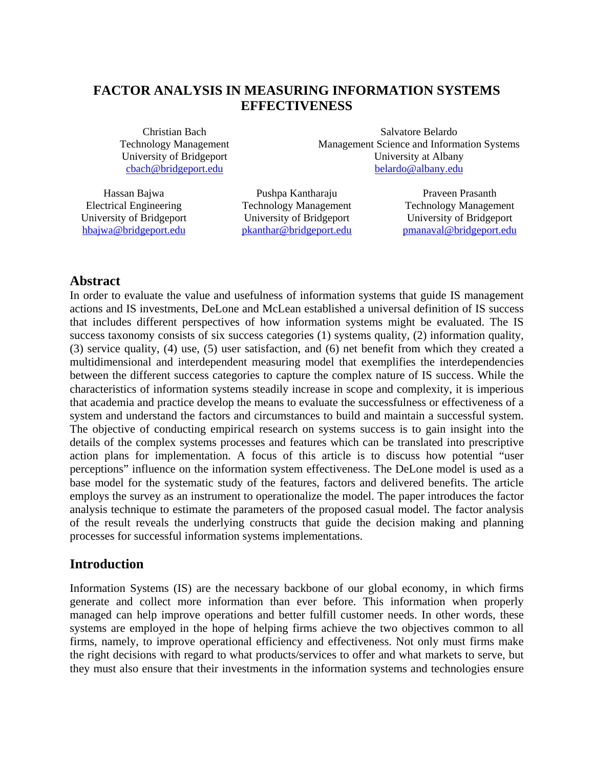# **FACTOR ANALYSIS IN MEASURING INFORMATION SYSTEMS EFFECTIVENESS**

Christian Bach Technology Management University of Bridgeport cbach@bridgeport.edu

Salvatore Belardo Management Science and Information Systems University at Albany belardo@albany.edu

Hassan Bajwa Electrical Engineering University of Bridgeport hbajwa@bridgeport.edu

Pushpa Kantharaju Technology Management University of Bridgeport pkanthar@bridgeport.edu

Praveen Prasanth Technology Management University of Bridgeport pmanaval@bridgeport.edu

## **Abstract**

In order to evaluate the value and usefulness of information systems that guide IS management actions and IS investments, DeLone and McLean established a universal definition of IS success that includes different perspectives of how information systems might be evaluated. The IS success taxonomy consists of six success categories (1) systems quality, (2) information quality, (3) service quality, (4) use, (5) user satisfaction, and (6) net benefit from which they created a multidimensional and interdependent measuring model that exemplifies the interdependencies between the different success categories to capture the complex nature of IS success. While the characteristics of information systems steadily increase in scope and complexity, it is imperious that academia and practice develop the means to evaluate the successfulness or effectiveness of a system and understand the factors and circumstances to build and maintain a successful system. The objective of conducting empirical research on systems success is to gain insight into the details of the complex systems processes and features which can be translated into prescriptive action plans for implementation. A focus of this article is to discuss how potential "user perceptions" influence on the information system effectiveness. The DeLone model is used as a base model for the systematic study of the features, factors and delivered benefits. The article employs the survey as an instrument to operationalize the model. The paper introduces the factor analysis technique to estimate the parameters of the proposed casual model. The factor analysis of the result reveals the underlying constructs that guide the decision making and planning processes for successful information systems implementations.

## **Introduction**

Information Systems (IS) are the necessary backbone of our global economy, in which firms generate and collect more information than ever before. This information when properly managed can help improve operations and better fulfill customer needs. In other words, these systems are employed in the hope of helping firms achieve the two objectives common to all firms, namely, to improve operational efficiency and effectiveness. Not only must firms make the right decisions with regard to what products/services to offer and what markets to serve, but they must also ensure that their investments in the information systems and technologies ensure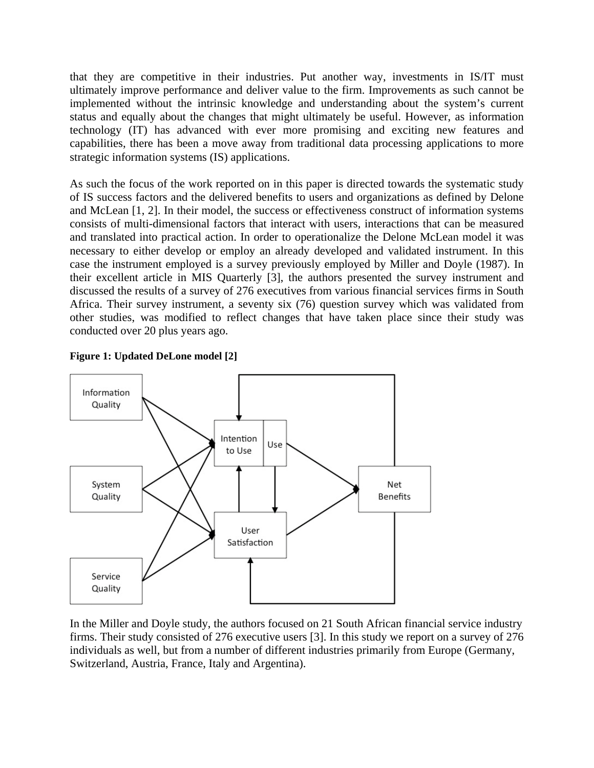that they are competitive in their industries. Put another way, investments in IS/IT must ultimately improve performance and deliver value to the firm. Improvements as such cannot be implemented without the intrinsic knowledge and understanding about the system's current status and equally about the changes that might ultimately be useful. However, as information technology (IT) has advanced with ever more promising and exciting new features and capabilities, there has been a move away from traditional data processing applications to more strategic information systems (IS) applications.

As such the focus of the work reported on in this paper is directed towards the systematic study of IS success factors and the delivered benefits to users and organizations as defined by Delone and McLean [1, 2]. In their model, the success or effectiveness construct of information systems consists of multi-dimensional factors that interact with users, interactions that can be measured and translated into practical action. In order to operationalize the Delone McLean model it was necessary to either develop or employ an already developed and validated instrument. In this case the instrument employed is a survey previously employed by Miller and Doyle (1987). In their excellent article in MIS Quarterly [3], the authors presented the survey instrument and discussed the results of a survey of 276 executives from various financial services firms in South Africa. Their survey instrument, a seventy six (76) question survey which was validated from other studies, was modified to reflect changes that have taken place since their study was conducted over 20 plus years ago.



**Figure 1: Updated DeLone model [2]** 

In the Miller and Doyle study, the authors focused on 21 South African financial service industry firms. Their study consisted of 276 executive users [3]. In this study we report on a survey of 276 individuals as well, but from a number of different industries primarily from Europe (Germany, Switzerland, Austria, France, Italy and Argentina).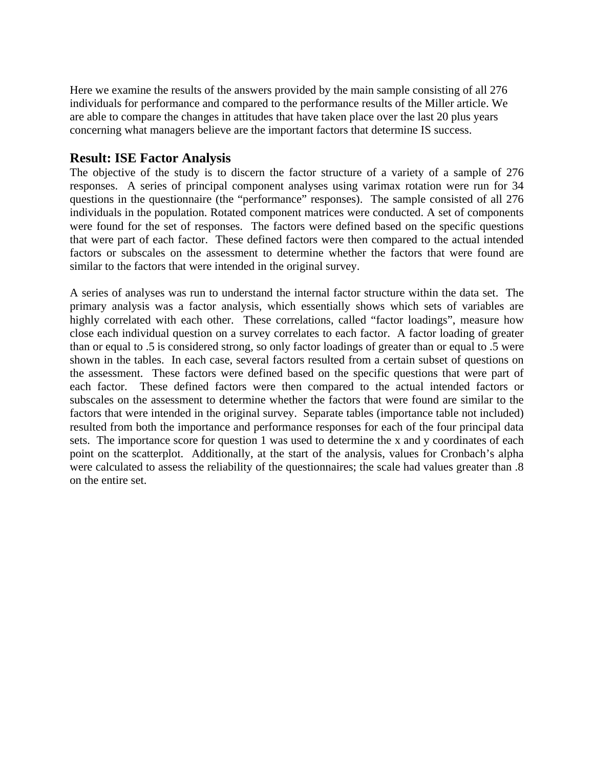Here we examine the results of the answers provided by the main sample consisting of all 276 individuals for performance and compared to the performance results of the Miller article. We are able to compare the changes in attitudes that have taken place over the last 20 plus years concerning what managers believe are the important factors that determine IS success.

## **Result: ISE Factor Analysis**

The objective of the study is to discern the factor structure of a variety of a sample of 276 responses. A series of principal component analyses using varimax rotation were run for 34 questions in the questionnaire (the "performance" responses). The sample consisted of all 276 individuals in the population. Rotated component matrices were conducted. A set of components were found for the set of responses. The factors were defined based on the specific questions that were part of each factor. These defined factors were then compared to the actual intended factors or subscales on the assessment to determine whether the factors that were found are similar to the factors that were intended in the original survey.

A series of analyses was run to understand the internal factor structure within the data set. The primary analysis was a factor analysis, which essentially shows which sets of variables are highly correlated with each other. These correlations, called "factor loadings", measure how close each individual question on a survey correlates to each factor. A factor loading of greater than or equal to .5 is considered strong, so only factor loadings of greater than or equal to .5 were shown in the tables. In each case, several factors resulted from a certain subset of questions on the assessment. These factors were defined based on the specific questions that were part of each factor. These defined factors were then compared to the actual intended factors or subscales on the assessment to determine whether the factors that were found are similar to the factors that were intended in the original survey. Separate tables (importance table not included) resulted from both the importance and performance responses for each of the four principal data sets. The importance score for question 1 was used to determine the x and y coordinates of each point on the scatterplot. Additionally, at the start of the analysis, values for Cronbach's alpha were calculated to assess the reliability of the questionnaires; the scale had values greater than .8 on the entire set.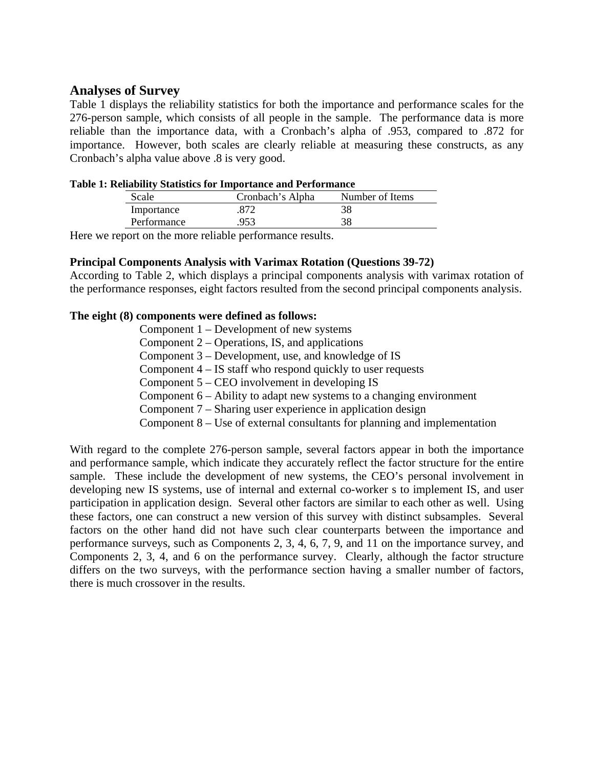## **Analyses of Survey**

Table 1 displays the reliability statistics for both the importance and performance scales for the 276-person sample, which consists of all people in the sample. The performance data is more reliable than the importance data, with a Cronbach's alpha of .953, compared to .872 for importance. However, both scales are clearly reliable at measuring these constructs, as any Cronbach's alpha value above .8 is very good.

| cenability statistics for importance and Periormance |                  |                 |  |  |  |
|------------------------------------------------------|------------------|-----------------|--|--|--|
| Scale                                                | Cronbach's Alpha | Number of Items |  |  |  |
| Importance                                           | .872             | 38              |  |  |  |
| Performance                                          | 953              | 38              |  |  |  |

# **Table 1: Reliability Statistics for Importance and Performance**

Here we report on the more reliable performance results.

#### **Principal Components Analysis with Varimax Rotation (Questions 39-72)**

According to Table 2, which displays a principal components analysis with varimax rotation of the performance responses, eight factors resulted from the second principal components analysis.

#### **The eight (8) components were defined as follows:**

Component 1 – Development of new systems Component 2 – Operations, IS, and applications Component 3 – Development, use, and knowledge of IS Component 4 – IS staff who respond quickly to user requests Component 5 – CEO involvement in developing IS Component 6 – Ability to adapt new systems to a changing environment Component 7 – Sharing user experience in application design Component 8 – Use of external consultants for planning and implementation

With regard to the complete 276-person sample, several factors appear in both the importance and performance sample, which indicate they accurately reflect the factor structure for the entire sample. These include the development of new systems, the CEO's personal involvement in developing new IS systems, use of internal and external co-worker s to implement IS, and user participation in application design. Several other factors are similar to each other as well. Using these factors, one can construct a new version of this survey with distinct subsamples. Several factors on the other hand did not have such clear counterparts between the importance and performance surveys, such as Components 2, 3, 4, 6, 7, 9, and 11 on the importance survey, and Components 2, 3, 4, and 6 on the performance survey. Clearly, although the factor structure differs on the two surveys, with the performance section having a smaller number of factors, there is much crossover in the results.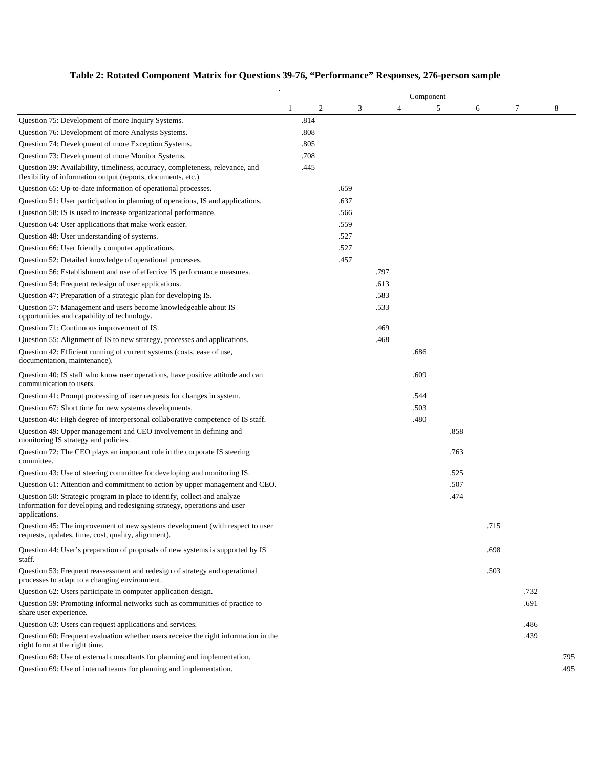# **Table 2: Rotated Component Matrix for Questions 39-76, "Performance" Responses, 276-person sample**

|                                                                                                                                                                       |              | Component |      |   |      |   |      |      |      |      |              |
|-----------------------------------------------------------------------------------------------------------------------------------------------------------------------|--------------|-----------|------|---|------|---|------|------|------|------|--------------|
|                                                                                                                                                                       | $\mathbf{1}$ | 2         |      | 3 |      | 4 | 5    |      | 6    | 7    | 8            |
| Question 75: Development of more Inquiry Systems.                                                                                                                     |              | .814      |      |   |      |   |      |      |      |      |              |
| Question 76: Development of more Analysis Systems.                                                                                                                    |              | .808      |      |   |      |   |      |      |      |      |              |
| Question 74: Development of more Exception Systems.                                                                                                                   |              | .805      |      |   |      |   |      |      |      |      |              |
| Question 73: Development of more Monitor Systems.                                                                                                                     |              | .708      |      |   |      |   |      |      |      |      |              |
| Question 39: Availability, timeliness, accuracy, completeness, relevance, and<br>flexibility of information output (reports, documents, etc.)                         |              | .445      |      |   |      |   |      |      |      |      |              |
| Question 65: Up-to-date information of operational processes.                                                                                                         |              |           | .659 |   |      |   |      |      |      |      |              |
| Question 51: User participation in planning of operations, IS and applications.                                                                                       |              |           | .637 |   |      |   |      |      |      |      |              |
| Question 58: IS is used to increase organizational performance.                                                                                                       |              |           | .566 |   |      |   |      |      |      |      |              |
| Question 64: User applications that make work easier.                                                                                                                 |              |           | .559 |   |      |   |      |      |      |      |              |
| Question 48: User understanding of systems.                                                                                                                           |              |           | .527 |   |      |   |      |      |      |      |              |
| Question 66: User friendly computer applications.                                                                                                                     |              |           | .527 |   |      |   |      |      |      |      |              |
| Question 52: Detailed knowledge of operational processes.                                                                                                             |              |           | .457 |   |      |   |      |      |      |      |              |
| Question 56: Establishment and use of effective IS performance measures.                                                                                              |              |           |      |   | .797 |   |      |      |      |      |              |
| Question 54: Frequent redesign of user applications.                                                                                                                  |              |           |      |   | .613 |   |      |      |      |      |              |
| Question 47: Preparation of a strategic plan for developing IS.                                                                                                       |              |           |      |   | .583 |   |      |      |      |      |              |
| Question 57: Management and users become knowledgeable about IS<br>opportunities and capability of technology.                                                        |              |           |      |   | .533 |   |      |      |      |      |              |
| Question 71: Continuous improvement of IS.                                                                                                                            |              |           |      |   | .469 |   |      |      |      |      |              |
| Question 55: Alignment of IS to new strategy, processes and applications.                                                                                             |              |           |      |   | .468 |   |      |      |      |      |              |
| Question 42: Efficient running of current systems (costs, ease of use,<br>documentation, maintenance).                                                                |              |           |      |   |      |   | .686 |      |      |      |              |
| Question 40: IS staff who know user operations, have positive attitude and can<br>communication to users.                                                             |              |           |      |   |      |   | .609 |      |      |      |              |
| Question 41: Prompt processing of user requests for changes in system.                                                                                                |              |           |      |   |      |   | .544 |      |      |      |              |
| Question 67: Short time for new systems developments.                                                                                                                 |              |           |      |   |      |   | .503 |      |      |      |              |
| Question 46: High degree of interpersonal collaborative competence of IS staff.                                                                                       |              |           |      |   |      |   | .480 |      |      |      |              |
| Question 49: Upper management and CEO involvement in defining and<br>monitoring IS strategy and policies.                                                             |              |           |      |   |      |   |      | .858 |      |      |              |
| Question 72: The CEO plays an important role in the corporate IS steering<br>committee.                                                                               |              |           |      |   |      |   |      | .763 |      |      |              |
| Question 43: Use of steering committee for developing and monitoring IS.                                                                                              |              |           |      |   |      |   |      | .525 |      |      |              |
| Question 61: Attention and commitment to action by upper management and CEO.                                                                                          |              |           |      |   |      |   |      | .507 |      |      |              |
| Question 50: Strategic program in place to identify, collect and analyze<br>information for developing and redesigning strategy, operations and user<br>applications. |              |           |      |   |      |   |      | .474 |      |      |              |
| Question 45: The improvement of new systems development (with respect to user<br>requests, updates, time, cost, quality, alignment).                                  |              |           |      |   |      |   |      |      | .715 |      |              |
| Question 44: User's preparation of proposals of new systems is supported by IS<br>staff.                                                                              |              |           |      |   |      |   |      |      | .698 |      |              |
| Question 53: Frequent reassessment and redesign of strategy and operational<br>processes to adapt to a changing environment.                                          |              |           |      |   |      |   |      |      | .503 |      |              |
| Question 62: Users participate in computer application design.                                                                                                        |              |           |      |   |      |   |      |      |      | .732 |              |
| Question 59: Promoting informal networks such as communities of practice to<br>share user experience.                                                                 |              |           |      |   |      |   |      |      |      | .691 |              |
| Question 63: Users can request applications and services.                                                                                                             |              |           |      |   |      |   |      |      |      | .486 |              |
| Question 60: Frequent evaluation whether users receive the right information in the<br>right form at the right time.                                                  |              |           |      |   |      |   |      |      |      | .439 |              |
| Question 68: Use of external consultants for planning and implementation.<br>Question 69: Use of internal teams for planning and implementation.                      |              |           |      |   |      |   |      |      |      |      | .795<br>.495 |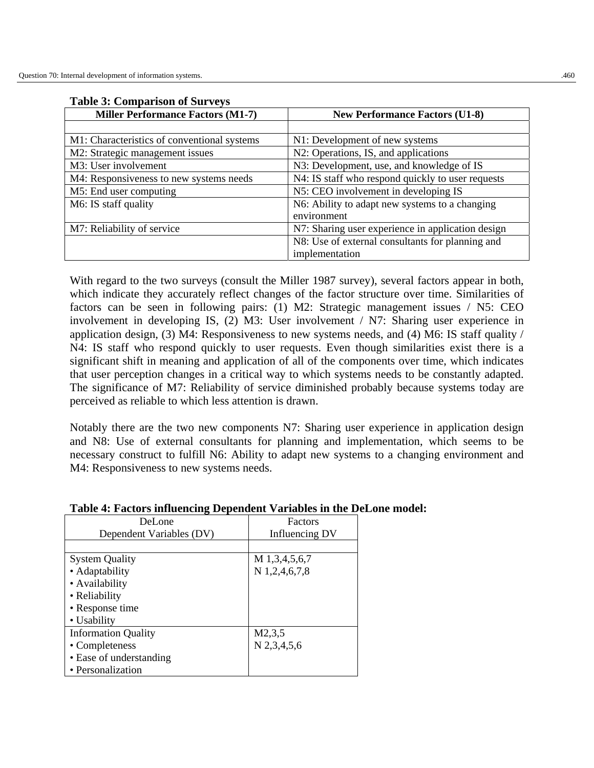| <b>Miller Performance Factors (M1-7)</b>    | <b>New Performance Factors (U1-8)</b>             |  |  |
|---------------------------------------------|---------------------------------------------------|--|--|
|                                             |                                                   |  |  |
| M1: Characteristics of conventional systems | N1: Development of new systems                    |  |  |
| M2: Strategic management issues             | N2: Operations, IS, and applications              |  |  |
| M3: User involvement                        | N3: Development, use, and knowledge of IS         |  |  |
| M4: Responsiveness to new systems needs     | N4: IS staff who respond quickly to user requests |  |  |
| M5: End user computing                      | N5: CEO involvement in developing IS              |  |  |
| M6: IS staff quality                        | N6: Ability to adapt new systems to a changing    |  |  |
|                                             | environment                                       |  |  |
| M7: Reliability of service                  | N7: Sharing user experience in application design |  |  |
|                                             | N8: Use of external consultants for planning and  |  |  |
|                                             | implementation                                    |  |  |

#### **Table 3: Comparison of Surveys**

With regard to the two surveys (consult the Miller 1987 survey), several factors appear in both, which indicate they accurately reflect changes of the factor structure over time. Similarities of factors can be seen in following pairs: (1) M2: Strategic management issues / N5: CEO involvement in developing IS, (2) M3: User involvement / N7: Sharing user experience in application design, (3) M4: Responsiveness to new systems needs, and (4) M6: IS staff quality / N4: IS staff who respond quickly to user requests. Even though similarities exist there is a significant shift in meaning and application of all of the components over time, which indicates that user perception changes in a critical way to which systems needs to be constantly adapted. The significance of M7: Reliability of service diminished probably because systems today are perceived as reliable to which less attention is drawn.

Notably there are the two new components N7: Sharing user experience in application design and N8: Use of external consultants for planning and implementation, which seems to be necessary construct to fulfill N6: Ability to adapt new systems to a changing environment and M4: Responsiveness to new systems needs.

| DeLone                     | Factors               |  |  |  |
|----------------------------|-----------------------|--|--|--|
| Dependent Variables (DV)   | Influencing DV        |  |  |  |
|                            |                       |  |  |  |
| <b>System Quality</b>      | M 1,3,4,5,6,7         |  |  |  |
| • Adaptability             | N 1,2,4,6,7,8         |  |  |  |
| • Availability             |                       |  |  |  |
| • Reliability              |                       |  |  |  |
| • Response time            |                       |  |  |  |
| • Usability                |                       |  |  |  |
| <b>Information Quality</b> | M <sub>2</sub> , 3, 5 |  |  |  |
| • Completeness             | N 2,3,4,5,6           |  |  |  |
| • Ease of understanding    |                       |  |  |  |
| • Personalization          |                       |  |  |  |

#### **Table 4: Factors influencing Dependent Variables in the DeLone model:**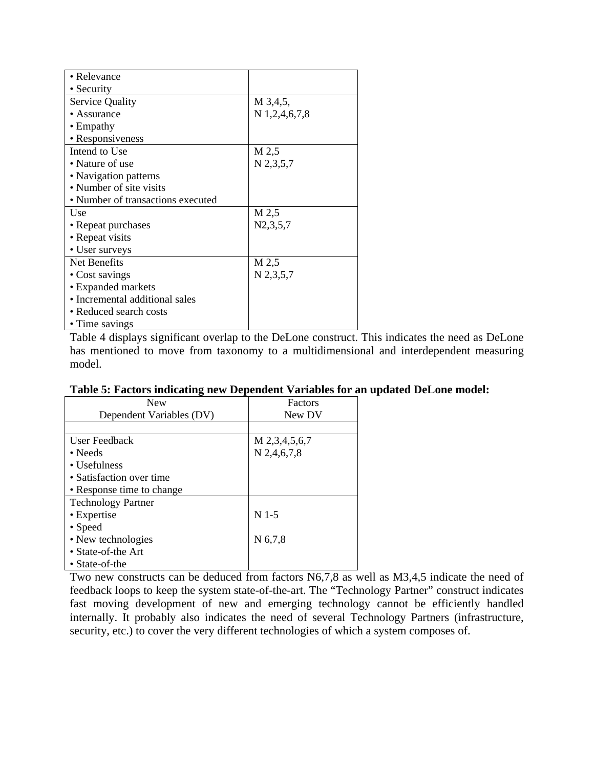| • Relevance                       |                 |
|-----------------------------------|-----------------|
| • Security                        |                 |
| <b>Service Quality</b>            | M 3,4,5,        |
| • Assurance                       | $N$ 1,2,4,6,7,8 |
| $\bullet$ Empathy                 |                 |
| • Responsiveness                  |                 |
| Intend to Use                     | M 2,5           |
| • Nature of use                   | $N$ 2,3,5,7     |
| • Navigation patterns             |                 |
| • Number of site visits           |                 |
| • Number of transactions executed |                 |
| Use                               | M 2,5           |
| • Repeat purchases                | N2, 3, 5, 7     |
| • Repeat visits                   |                 |
| • User surveys                    |                 |
| Net Benefits                      | M 2,5           |
| • Cost savings                    | $N$ 2,3,5,7     |
| • Expanded markets                |                 |
| • Incremental additional sales    |                 |
| • Reduced search costs            |                 |
| • Time savings                    |                 |

Table 4 displays significant overlap to the DeLone construct. This indicates the need as DeLone has mentioned to move from taxonomy to a multidimensional and interdependent measuring model.

| <b>New</b>                | Factors       |  |  |  |
|---------------------------|---------------|--|--|--|
| Dependent Variables (DV)  | New DV        |  |  |  |
|                           |               |  |  |  |
| User Feedback             | M 2,3,4,5,6,7 |  |  |  |
| $\bullet$ Needs           | $N$ 2,4,6,7,8 |  |  |  |
| $\bullet$ Usefulness      |               |  |  |  |
| • Satisfaction over time  |               |  |  |  |
| • Response time to change |               |  |  |  |
| <b>Technology Partner</b> |               |  |  |  |
| • Expertise               | $N$ 1-5       |  |  |  |
| • Speed                   |               |  |  |  |
| • New technologies        | N 6,7,8       |  |  |  |
| • State-of-the Art        |               |  |  |  |
| • State-of-the            |               |  |  |  |

Two new constructs can be deduced from factors N6,7,8 as well as M3,4,5 indicate the need of feedback loops to keep the system state-of-the-art. The "Technology Partner" construct indicates fast moving development of new and emerging technology cannot be efficiently handled internally. It probably also indicates the need of several Technology Partners (infrastructure, security, etc.) to cover the very different technologies of which a system composes of.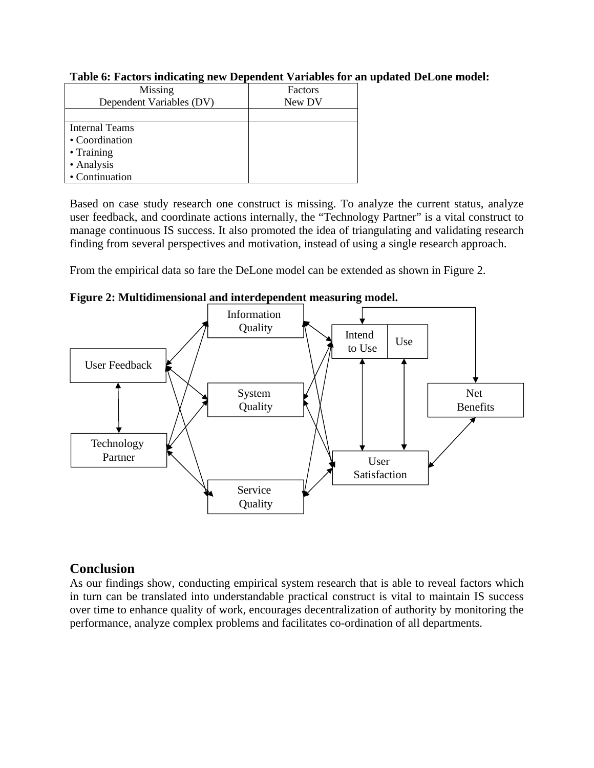| Missing                  | Factors |
|--------------------------|---------|
| Dependent Variables (DV) | New DV  |
|                          |         |
| <b>Internal Teams</b>    |         |
| • Coordination           |         |
| $\bullet$ Training       |         |
| • Analysis               |         |
| • Continuation           |         |

#### **Table 6: Factors indicating new Dependent Variables for an updated DeLone model:**

Based on case study research one construct is missing. To analyze the current status, analyze user feedback, and coordinate actions internally, the "Technology Partner" is a vital construct to manage continuous IS success. It also promoted the idea of triangulating and validating research finding from several perspectives and motivation, instead of using a single research approach.

From the empirical data so fare the DeLone model can be extended as shown in Figure 2.



**Figure 2: Multidimensional and interdependent measuring model.** 

# **Conclusion**

As our findings show, conducting empirical system research that is able to reveal factors which in turn can be translated into understandable practical construct is vital to maintain IS success over time to enhance quality of work, encourages decentralization of authority by monitoring the performance, analyze complex problems and facilitates co-ordination of all departments.